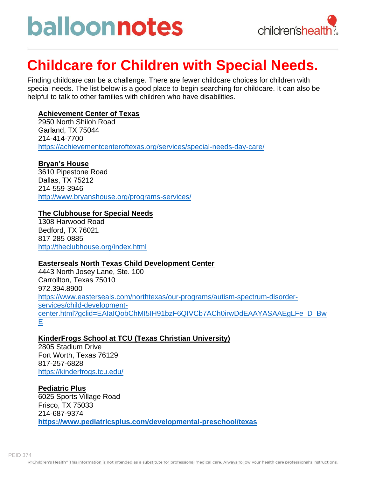# balloonnotes



### **Childcare for Children with Special Needs.**

Finding childcare can be a challenge. There are fewer childcare choices for children with special needs. The list below is a good place to begin searching for childcare. It can also be helpful to talk to other families with children who have disabilities.

#### **Achievement Center of Texas**

2950 North Shiloh Road Garland, TX 75044 214-414-7700 <https://achievementcenteroftexas.org/services/special-needs-day-care/>

#### **Bryan's House**

3610 Pipestone Road Dallas, TX 75212 214-559-3946 <http://www.bryanshouse.org/programs-services/>

#### **The Clubhouse for Special Needs**

1308 Harwood Road Bedford, TX 76021 817-285-0885 <http://theclubhouse.org/index.html>

#### **Easterseals North Texas Child Development Center**

4443 North Josey Lane, Ste. 100 Carrollton, Texas 75010 972.394.8900 [https://www.easterseals.com/northtexas/our-programs/autism-spectrum-disorder](https://www.easterseals.com/northtexas/our-programs/autism-spectrum-disorder-services/child-development-center.html?gclid=EAIaIQobChMI5IH91bzF6QIVCb7ACh0irwDdEAAYASAAEgLFe_D_BwE)[services/child-development](https://www.easterseals.com/northtexas/our-programs/autism-spectrum-disorder-services/child-development-center.html?gclid=EAIaIQobChMI5IH91bzF6QIVCb7ACh0irwDdEAAYASAAEgLFe_D_BwE)[center.html?gclid=EAIaIQobChMI5IH91bzF6QIVCb7ACh0irwDdEAAYASAAEgLFe\\_D\\_Bw](https://www.easterseals.com/northtexas/our-programs/autism-spectrum-disorder-services/child-development-center.html?gclid=EAIaIQobChMI5IH91bzF6QIVCb7ACh0irwDdEAAYASAAEgLFe_D_BwE) [E](https://www.easterseals.com/northtexas/our-programs/autism-spectrum-disorder-services/child-development-center.html?gclid=EAIaIQobChMI5IH91bzF6QIVCb7ACh0irwDdEAAYASAAEgLFe_D_BwE)

#### **KinderFrogs School at TCU (Texas Christian University)**

2805 Stadium Drive Fort Worth, Texas 76129 817-257-6828 <https://kinderfrogs.tcu.edu/>

#### **Pediatric Plus**

6025 Sports Village Road Frisco, TX 75033 214-687-9374 **<https://www.pediatricsplus.com/developmental-preschool/texas>**